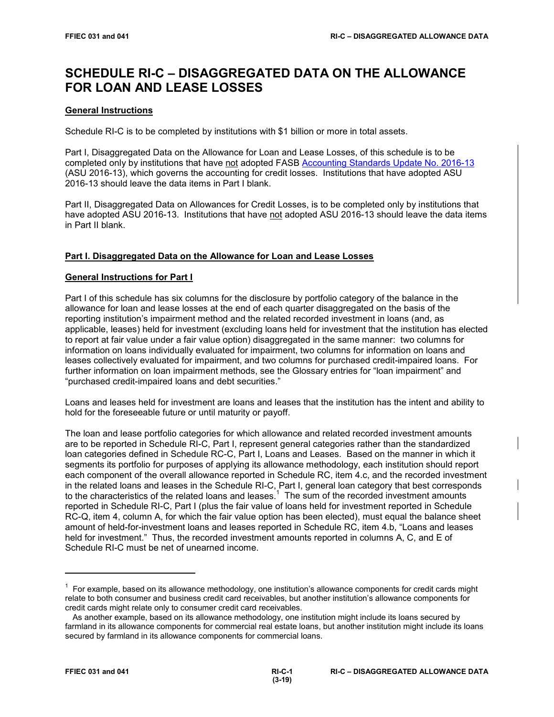# **SCHEDULE RI-C – DISAGGREGATED DATA ON THE ALLOWANCE FOR LOAN AND LEASE LOSSES**

# **General Instructions**

Schedule RI-C is to be completed by institutions with \$1 billion or more in total assets.

Part I, Disaggregated Data on the Allowance for Loan and Lease Losses, of this schedule is to be completed only by institutions that have not adopted FASB [Accounting Standards Update No. 2016-13](https://www.fasb.org/jsp/FASB/Document_C/DocumentPage?cid=1176168232528&acceptedDisclaimer=true) (ASU 2016-13), which governs the accounting for credit losses. Institutions that have adopted ASU 2016-13 should leave the data items in Part I blank.

Part II, Disaggregated Data on Allowances for Credit Losses, is to be completed only by institutions that have adopted ASU 2016-13. Institutions that have not adopted ASU 2016-13 should leave the data items in Part II blank.

# **Part I. Disaggregated Data on the Allowance for Loan and Lease Losses**

## **General Instructions for Part I**

Part I of this schedule has six columns for the disclosure by portfolio category of the balance in the allowance for loan and lease losses at the end of each quarter disaggregated on the basis of the reporting institution's impairment method and the related recorded investment in loans (and, as applicable, leases) held for investment (excluding loans held for investment that the institution has elected to report at fair value under a fair value option) disaggregated in the same manner: two columns for information on loans individually evaluated for impairment, two columns for information on loans and leases collectively evaluated for impairment, and two columns for purchased credit-impaired loans. For further information on loan impairment methods, see the Glossary entries for "loan impairment" and "purchased credit-impaired loans and debt securities."

Loans and leases held for investment are loans and leases that the institution has the intent and ability to hold for the foreseeable future or until maturity or payoff.

The loan and lease portfolio categories for which allowance and related recorded investment amounts are to be reported in Schedule RI-C, Part I, represent general categories rather than the standardized loan categories defined in Schedule RC-C, Part I, Loans and Leases. Based on the manner in which it segments its portfolio for purposes of applying its allowance methodology, each institution should report each component of the overall allowance reported in Schedule RC, item 4.c, and the recorded investment in the related loans and leases in the Schedule RI-C, Part I, general loan category that best corresponds to the characteristics of the related loans and leases.<sup>1</sup> The sum of the recorded investment amounts reported in Schedule RI-C, Part I (plus the fair value of loans held for investment reported in Schedule RC-Q, item 4, column A, for which the fair value option has been elected), must equal the balance sheet amount of held-for-investment loans and leases reported in Schedule RC, item 4.b, "Loans and leases held for investment." Thus, the recorded investment amounts reported in columns A, C, and E of Schedule RI-C must be net of unearned income.

 $1$  For example, based on its allowance methodology, one institution's allowance components for credit cards might relate to both consumer and business credit card receivables, but another institution's allowance components for credit cards might relate only to consumer credit card receivables.

As another example, based on its allowance methodology, one institution might include its loans secured by farmland in its allowance components for commercial real estate loans, but another institution might include its loans secured by farmland in its allowance components for commercial loans.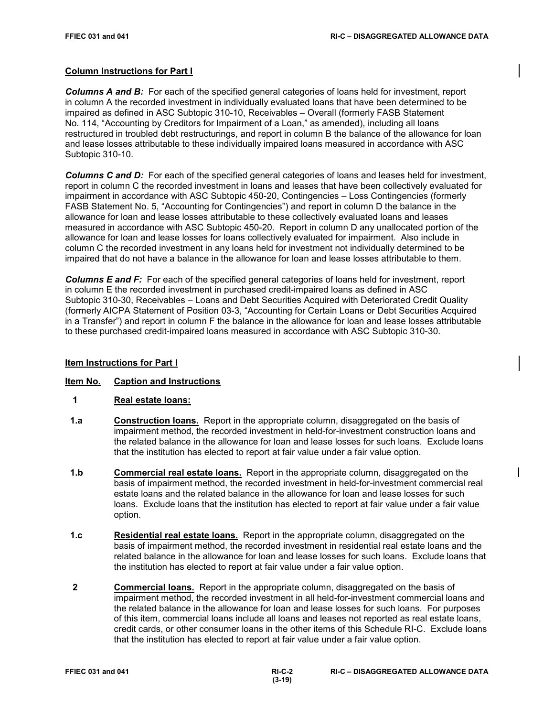# **Column Instructions for Part I**

*Columns A and B:* For each of the specified general categories of loans held for investment, report in column A the recorded investment in individually evaluated loans that have been determined to be impaired as defined in ASC Subtopic 310-10, Receivables – Overall (formerly FASB Statement No. 114, "Accounting by Creditors for Impairment of a Loan," as amended), including all loans restructured in troubled debt restructurings, and report in column B the balance of the allowance for loan and lease losses attributable to these individually impaired loans measured in accordance with ASC Subtopic 310-10.

*Columns C and D:* For each of the specified general categories of loans and leases held for investment, report in column C the recorded investment in loans and leases that have been collectively evaluated for impairment in accordance with ASC Subtopic 450-20, Contingencies – Loss Contingencies (formerly FASB Statement No. 5, "Accounting for Contingencies") and report in column D the balance in the allowance for loan and lease losses attributable to these collectively evaluated loans and leases measured in accordance with ASC Subtopic 450-20. Report in column D any unallocated portion of the allowance for loan and lease losses for loans collectively evaluated for impairment. Also include in column C the recorded investment in any loans held for investment not individually determined to be impaired that do not have a balance in the allowance for loan and lease losses attributable to them.

*Columns E and F:* For each of the specified general categories of loans held for investment, report in column E the recorded investment in purchased credit-impaired loans as defined in ASC Subtopic 310-30, Receivables – Loans and Debt Securities Acquired with Deteriorated Credit Quality (formerly AICPA Statement of Position 03-3, "Accounting for Certain Loans or Debt Securities Acquired in a Transfer") and report in column F the balance in the allowance for loan and lease losses attributable to these purchased credit-impaired loans measured in accordance with ASC Subtopic 310-30.

## **Item Instructions for Part I**

## **Item No. Caption and Instructions**

- **1 Real estate loans:**
- **1.a Construction loans.** Report in the appropriate column, disaggregated on the basis of impairment method, the recorded investment in held-for-investment construction loans and the related balance in the allowance for loan and lease losses for such loans. Exclude loans that the institution has elected to report at fair value under a fair value option.
- **1.b Commercial real estate loans.** Report in the appropriate column, disaggregated on the basis of impairment method, the recorded investment in held-for-investment commercial real estate loans and the related balance in the allowance for loan and lease losses for such loans. Exclude loans that the institution has elected to report at fair value under a fair value option.
- **1.c Residential real estate loans.** Report in the appropriate column, disaggregated on the basis of impairment method, the recorded investment in residential real estate loans and the related balance in the allowance for loan and lease losses for such loans. Exclude loans that the institution has elected to report at fair value under a fair value option.
- **2 Commercial loans.** Report in the appropriate column, disaggregated on the basis of impairment method, the recorded investment in all held-for-investment commercial loans and the related balance in the allowance for loan and lease losses for such loans. For purposes of this item, commercial loans include all loans and leases not reported as real estate loans, credit cards, or other consumer loans in the other items of this Schedule RI-C. Exclude loans that the institution has elected to report at fair value under a fair value option.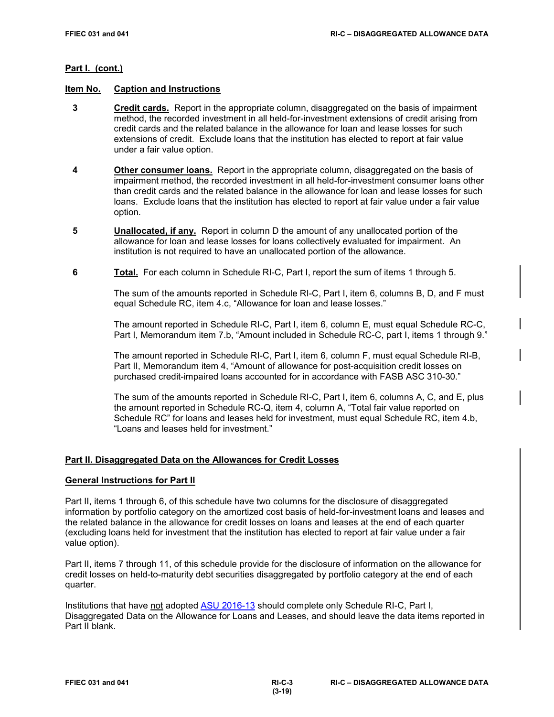## **Part I. (cont.)**

## **Item No. Caption and Instructions**

- **3 Credit cards.** Report in the appropriate column, disaggregated on the basis of impairment method, the recorded investment in all held-for-investment extensions of credit arising from credit cards and the related balance in the allowance for loan and lease losses for such extensions of credit. Exclude loans that the institution has elected to report at fair value under a fair value option.
- **4 Other consumer loans.** Report in the appropriate column, disaggregated on the basis of impairment method, the recorded investment in all held-for-investment consumer loans other than credit cards and the related balance in the allowance for loan and lease losses for such loans. Exclude loans that the institution has elected to report at fair value under a fair value option.
- **5 Unallocated, if any.** Report in column D the amount of any unallocated portion of the allowance for loan and lease losses for loans collectively evaluated for impairment. An institution is not required to have an unallocated portion of the allowance.
- **6 Total.** For each column in Schedule RI-C, Part I, report the sum of items 1 through 5.

The sum of the amounts reported in Schedule RI-C, Part I, item 6, columns B, D, and F must equal Schedule RC, item 4.c, "Allowance for loan and lease losses."

The amount reported in Schedule RI-C, Part I, item 6, column E, must equal Schedule RC-C, Part I, Memorandum item 7.b, "Amount included in Schedule RC-C, part I, items 1 through 9."

The amount reported in Schedule RI-C, Part I, item 6, column F, must equal Schedule RI-B, Part II, Memorandum item 4, "Amount of allowance for post-acquisition credit losses on purchased credit-impaired loans accounted for in accordance with FASB ASC 310-30."

The sum of the amounts reported in Schedule RI-C, Part I, item 6, columns A, C, and E, plus the amount reported in Schedule RC-Q, item 4, column A, "Total fair value reported on Schedule RC" for loans and leases held for investment, must equal Schedule RC, item 4.b, "Loans and leases held for investment."

## **Part II. Disaggregated Data on the Allowances for Credit Losses**

#### **General Instructions for Part II**

Part II, items 1 through 6, of this schedule have two columns for the disclosure of disaggregated information by portfolio category on the amortized cost basis of held-for-investment loans and leases and the related balance in the allowance for credit losses on loans and leases at the end of each quarter (excluding loans held for investment that the institution has elected to report at fair value under a fair value option).

Part II, items 7 through 11, of this schedule provide for the disclosure of information on the allowance for credit losses on held-to-maturity debt securities disaggregated by portfolio category at the end of each quarter.

Institutions that have not adopted [ASU 2016-13](https://www.fasb.org/jsp/FASB/Document_C/DocumentPage?cid=1176168232528&acceptedDisclaimer=true) should complete only Schedule RI-C, Part I, Disaggregated Data on the Allowance for Loans and Leases, and should leave the data items reported in Part II blank.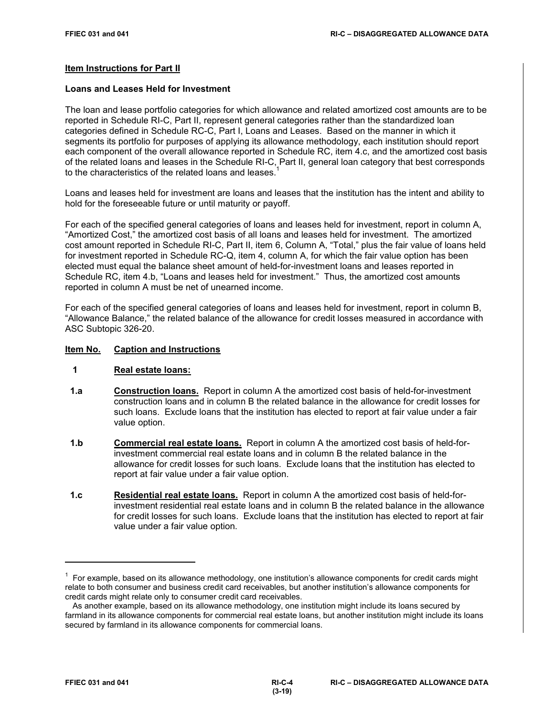## **Item Instructions for Part II**

## **Loans and Leases Held for Investment**

The loan and lease portfolio categories for which allowance and related amortized cost amounts are to be reported in Schedule RI-C, Part II, represent general categories rather than the standardized loan categories defined in Schedule RC-C, Part I, Loans and Leases. Based on the manner in which it segments its portfolio for purposes of applying its allowance methodology, each institution should report each component of the overall allowance reported in Schedule RC, item 4.c, and the amortized cost basis of the related loans and leases in the Schedule RI-C, Part II, general loan category that best corresponds to the characteristics of the related loans and leases.

Loans and leases held for investment are loans and leases that the institution has the intent and ability to hold for the foreseeable future or until maturity or payoff.

For each of the specified general categories of loans and leases held for investment, report in column A, "Amortized Cost," the amortized cost basis of all loans and leases held for investment. The amortized cost amount reported in Schedule RI-C, Part II, item 6, Column A, "Total," plus the fair value of loans held for investment reported in Schedule RC-Q, item 4, column A, for which the fair value option has been elected must equal the balance sheet amount of held-for-investment loans and leases reported in Schedule RC, item 4.b, "Loans and leases held for investment." Thus, the amortized cost amounts reported in column A must be net of unearned income.

For each of the specified general categories of loans and leases held for investment, report in column B, "Allowance Balance," the related balance of the allowance for credit losses measured in accordance with ASC Subtopic 326-20.

## **Item No. Caption and Instructions**

#### **1 Real estate loans:**

- **1.a Construction loans.** Report in column A the amortized cost basis of held-for-investment construction loans and in column B the related balance in the allowance for credit losses for such loans. Exclude loans that the institution has elected to report at fair value under a fair value option.
- **1.b Commercial real estate loans.** Report in column A the amortized cost basis of held-forinvestment commercial real estate loans and in column B the related balance in the allowance for credit losses for such loans. Exclude loans that the institution has elected to report at fair value under a fair value option.
- **1.c Residential real estate loans.** Report in column A the amortized cost basis of held-forinvestment residential real estate loans and in column B the related balance in the allowance for credit losses for such loans. Exclude loans that the institution has elected to report at fair value under a fair value option.

<sup>1</sup> For example, based on its allowance methodology, one institution's allowance components for credit cards might relate to both consumer and business credit card receivables, but another institution's allowance components for credit cards might relate only to consumer credit card receivables.

As another example, based on its allowance methodology, one institution might include its loans secured by farmland in its allowance components for commercial real estate loans, but another institution might include its loans secured by farmland in its allowance components for commercial loans.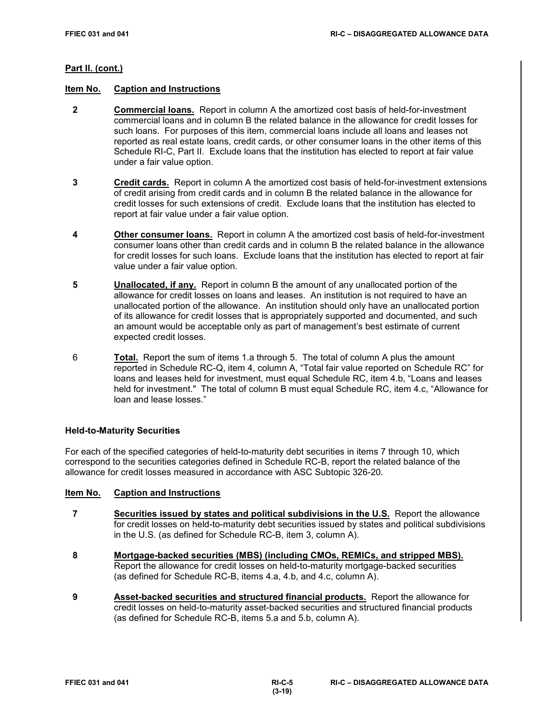## **Part II. (cont.)**

## **Item No. Caption and Instructions**

- **2 Commercial loans.** Report in column A the amortized cost basis of held-for-investment commercial loans and in column B the related balance in the allowance for credit losses for such loans. For purposes of this item, commercial loans include all loans and leases not reported as real estate loans, credit cards, or other consumer loans in the other items of this Schedule RI-C, Part II. Exclude loans that the institution has elected to report at fair value under a fair value option.
- **3 Credit cards.** Report in column A the amortized cost basis of held-for-investment extensions of credit arising from credit cards and in column B the related balance in the allowance for credit losses for such extensions of credit. Exclude loans that the institution has elected to report at fair value under a fair value option.
- **4 Other consumer loans.** Report in column A the amortized cost basis of held-for-investment consumer loans other than credit cards and in column B the related balance in the allowance for credit losses for such loans. Exclude loans that the institution has elected to report at fair value under a fair value option.
- **5 Unallocated, if any.** Report in column B the amount of any unallocated portion of the allowance for credit losses on loans and leases. An institution is not required to have an unallocated portion of the allowance. An institution should only have an unallocated portion of its allowance for credit losses that is appropriately supported and documented, and such an amount would be acceptable only as part of management's best estimate of current expected credit losses.
- 6 **Total.** Report the sum of items 1.a through 5. The total of column A plus the amount reported in Schedule RC-Q, item 4, column A, "Total fair value reported on Schedule RC" for loans and leases held for investment, must equal Schedule RC, item 4.b, "Loans and leases held for investment." The total of column B must equal Schedule RC, item 4.c, "Allowance for loan and lease losses."

## **Held-to-Maturity Securities**

For each of the specified categories of held-to-maturity debt securities in items 7 through 10, which correspond to the securities categories defined in Schedule RC-B, report the related balance of the allowance for credit losses measured in accordance with ASC Subtopic 326-20.

## **Item No. Caption and Instructions**

- **7 Securities issued by states and political subdivisions in the U.S.** Report the allowance for credit losses on held-to-maturity debt securities issued by states and political subdivisions in the U.S. (as defined for Schedule RC-B, item 3, column A).
- **8 Mortgage-backed securities (MBS) (including CMOs, REMICs, and stripped MBS).** Report the allowance for credit losses on held-to-maturity mortgage-backed securities (as defined for Schedule RC-B, items 4.a, 4.b, and 4.c, column A).
- **9 Asset-backed securities and structured financial products.** Report the allowance for credit losses on held-to-maturity asset-backed securities and structured financial products (as defined for Schedule RC-B, items 5.a and 5.b, column A).